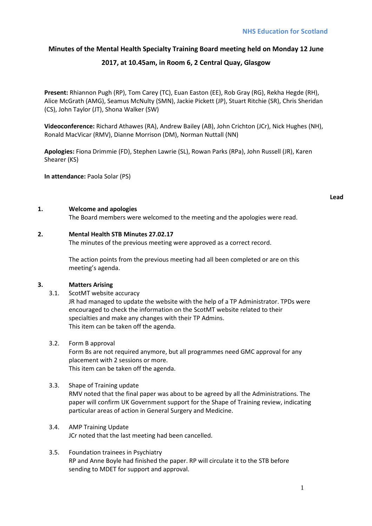## **Minutes of the Mental Health Specialty Training Board meeting held on Monday 12 June**

## **2017, at 10.45am, in Room 6, 2 Central Quay, Glasgow**

**Present:** Rhiannon Pugh (RP), Tom Carey (TC), Euan Easton (EE), Rob Gray (RG), Rekha Hegde (RH), Alice McGrath (AMG), Seamus McNulty (SMN), Jackie Pickett (JP), Stuart Ritchie (SR), Chris Sheridan (CS), John Taylor (JT), Shona Walker (SW)

**Videoconference:** Richard Athawes (RA), Andrew Bailey (AB), John Crichton (JCr), Nick Hughes (NH), Ronald MacVicar (RMV), Dianne Morrison (DM), Norman Nuttall (NN)

**Apologies:** Fiona Drimmie (FD), Stephen Lawrie (SL), Rowan Parks (RPa), John Russell (JR), Karen Shearer (KS)

**In attendance:** Paola Solar (PS)

### **1. Welcome and apologies**

The Board members were welcomed to the meeting and the apologies were read.

### **2. Mental Health STB Minutes 27.02.17**

The minutes of the previous meeting were approved as a correct record.

The action points from the previous meeting had all been completed or are on this meeting's agenda.

## **3. Matters Arising**

3.1. ScotMT website accuracy

JR had managed to update the website with the help of a TP Administrator. TPDs were encouraged to check the information on the ScotMT website related to their specialties and make any changes with their TP Admins. This item can be taken off the agenda.

3.2. Form B approval

Form Bs are not required anymore, but all programmes need GMC approval for any placement with 2 sessions or more. This item can be taken off the agenda.

## 3.3. Shape of Training update

RMV noted that the final paper was about to be agreed by all the Administrations. The paper will confirm UK Government support for the Shape of Training review, indicating particular areas of action in General Surgery and Medicine.

- 3.4. AMP Training Update JCr noted that the last meeting had been cancelled.
- 3.5. Foundation trainees in Psychiatry RP and Anne Boyle had finished the paper. RP will circulate it to the STB before sending to MDET for support and approval.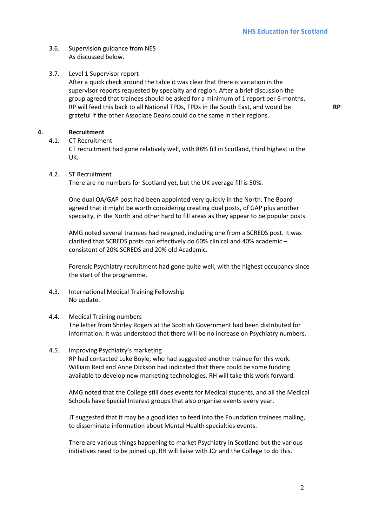**RP** 

- 3.6. Supervision guidance from NES As discussed below.
- 3.7. Level 1 Supervisor report

After a quick check around the table it was clear that there is variation in the supervisor reports requested by specialty and region. After a brief discussion the group agreed that trainees should be asked for a minimum of 1 report per 6 months. RP will feed this back to all National TPDs, TPDs in the South East, and would be grateful if the other Associate Deans could do the same in their regions.

**4. Recruitment** 

4.1. CT Recruitment

CT recruitment had gone relatively well, with 88% fill in Scotland, third highest in the UK.

4.2. ST Recruitment

There are no numbers for Scotland yet, but the UK average fill is 50%.

One dual OA/GAP post had been appointed very quickly in the North. The Board agreed that it might be worth considering creating dual posts, of GAP plus another specialty, in the North and other hard to fill areas as they appear to be popular posts.

AMG noted several trainees had resigned, including one from a SCREDS post. It was clarified that SCREDS posts can effectively do 60% clinical and 40% academic – consistent of 20% SCREDS and 20% old Academic.

Forensic Psychiatry recruitment had gone quite well, with the highest occupancy since the start of the programme.

4.3. International Medical Training Fellowship No update.

## 4.4. Medical Training numbers

The letter from Shirley Rogers at the Scottish Government had been distributed for information. It was understood that there will be no increase on Psychiatry numbers.

4.5. Improving Psychiatry's marketing

RP had contacted Luke Boyle, who had suggested another trainee for this work. William Reid and Anne Dickson had indicated that there could be some funding available to develop new marketing technologies. RH will take this work forward.

AMG noted that the College still does events for Medical students, and all the Medical Schools have Special Interest groups that also organise events every year.

JT suggested that it may be a good idea to feed into the Foundation trainees mailing, to disseminate information about Mental Health specialties events.

There are various things happening to market Psychiatry in Scotland but the various initiatives need to be joined up. RH will liaise with JCr and the College to do this.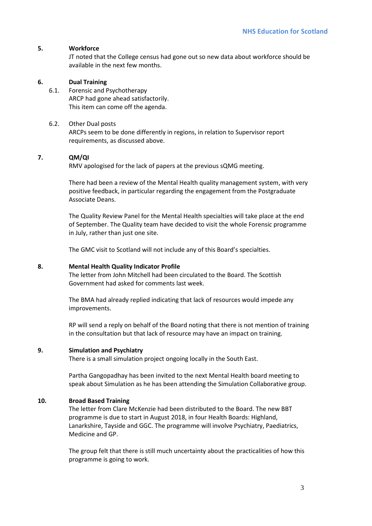### **5. Workforce**

JT noted that the College census had gone out so new data about workforce should be available in the next few months.

#### **6. Dual Training**

6.1. Forensic and Psychotherapy ARCP had gone ahead satisfactorily. This item can come off the agenda.

#### 6.2. Other Dual posts

ARCPs seem to be done differently in regions, in relation to Supervisor report requirements, as discussed above.

## **7. QM/QI**

RMV apologised for the lack of papers at the previous sQMG meeting.

There had been a review of the Mental Health quality management system, with very positive feedback, in particular regarding the engagement from the Postgraduate Associate Deans.

The Quality Review Panel for the Mental Health specialties will take place at the end of September. The Quality team have decided to visit the whole Forensic programme in July, rather than just one site.

The GMC visit to Scotland will not include any of this Board's specialties.

#### **8. Mental Health Quality Indicator Profile**

The letter from John Mitchell had been circulated to the Board. The Scottish Government had asked for comments last week.

The BMA had already replied indicating that lack of resources would impede any improvements.

RP will send a reply on behalf of the Board noting that there is not mention of training in the consultation but that lack of resource may have an impact on training.

#### **9. Simulation and Psychiatry**

There is a small simulation project ongoing locally in the South East.

Partha Gangopadhay has been invited to the next Mental Health board meeting to speak about Simulation as he has been attending the Simulation Collaborative group.

## **10. Broad Based Training**

The letter from Clare McKenzie had been distributed to the Board. The new BBT programme is due to start in August 2018, in four Health Boards: Highland, Lanarkshire, Tayside and GGC. The programme will involve Psychiatry, Paediatrics, Medicine and GP.

The group felt that there is still much uncertainty about the practicalities of how this programme is going to work.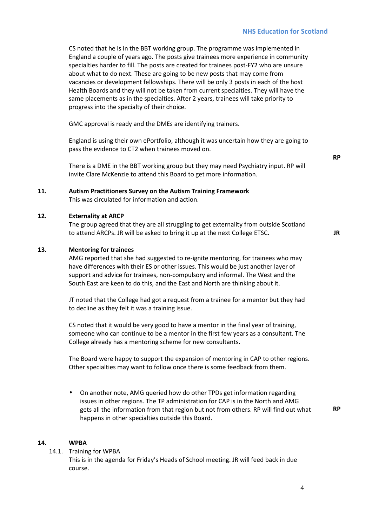CS noted that he is in the BBT working group. The programme was implemented in England a couple of years ago. The posts give trainees more experience in community specialties harder to fill. The posts are created for trainees post-FY2 who are unsure about what to do next. These are going to be new posts that may come from vacancies or development fellowships. There will be only 3 posts in each of the host Health Boards and they will not be taken from current specialties. They will have the same placements as in the specialties. After 2 years, trainees will take priority to progress into the specialty of their choice.

GMC approval is ready and the DMEs are identifying trainers.

England is using their own ePortfolio, although it was uncertain how they are going to pass the evidence to CT2 when trainees moved on.

There is a DME in the BBT working group but they may need Psychiatry input. RP will invite Clare McKenzie to attend this Board to get more information.

**11. Autism Practitioners Survey on the Autism Training Framework** This was circulated for information and action.

#### **12. Externality at ARCP**

The group agreed that they are all struggling to get externality from outside Scotland to attend ARCPs. JR will be asked to bring it up at the next College ETSC. **JR** 

## **13. Mentoring for trainees**

AMG reported that she had suggested to re-ignite mentoring, for trainees who may have differences with their ES or other issues. This would be just another layer of support and advice for trainees, non-compulsory and informal. The West and the South East are keen to do this, and the East and North are thinking about it.

JT noted that the College had got a request from a trainee for a mentor but they had to decline as they felt it was a training issue.

CS noted that it would be very good to have a mentor in the final year of training, someone who can continue to be a mentor in the first few years as a consultant. The College already has a mentoring scheme for new consultants.

The Board were happy to support the expansion of mentoring in CAP to other regions. Other specialties may want to follow once there is some feedback from them.

• On another note, AMG queried how do other TPDs get information regarding issues in other regions. The TP administration for CAP is in the North and AMG gets all the information from that region but not from others. RP will find out what happens in other specialties outside this Board.

#### **14. WPBA**

14.1. Training for WPBA

This is in the agenda for Friday's Heads of School meeting. JR will feed back in due course.

**RP** 

**RP**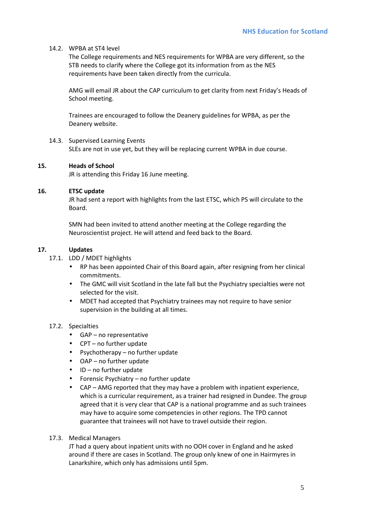## 14.2. WPBA at ST4 level

The College requirements and NES requirements for WPBA are very different, so the STB needs to clarify where the College got its information from as the NES requirements have been taken directly from the curricula.

AMG will email JR about the CAP curriculum to get clarity from next Friday's Heads of School meeting.

Trainees are encouraged to follow the Deanery guidelines for WPBA, as per the Deanery website.

14.3. Supervised Learning Events SLEs are not in use yet, but they will be replacing current WPBA in due course.

## **15. Heads of School**

JR is attending this Friday 16 June meeting.

## **16. ETSC update**

JR had sent a report with highlights from the last ETSC, which PS will circulate to the Board.

SMN had been invited to attend another meeting at the College regarding the Neuroscientist project. He will attend and feed back to the Board.

## **17. Updates**

- 17.1. LDD / MDET highlights
	- RP has been appointed Chair of this Board again, after resigning from her clinical commitments.
	- The GMC will visit Scotland in the late fall but the Psychiatry specialties were not selected for the visit.
	- MDET had accepted that Psychiatry trainees may not require to have senior supervision in the building at all times.

## 17.2. Specialties

- GAP no representative
- CPT no further update
- Psychotherapy no further update
- OAP no further update
- ID no further update
- Forensic Psychiatry no further update
- CAP AMG reported that they may have a problem with inpatient experience, which is a curricular requirement, as a trainer had resigned in Dundee. The group agreed that it is very clear that CAP is a national programme and as such trainees may have to acquire some competencies in other regions. The TPD cannot guarantee that trainees will not have to travel outside their region.

## 17.3. Medical Managers

JT had a query about inpatient units with no OOH cover in England and he asked around if there are cases in Scotland. The group only knew of one in Hairmyres in Lanarkshire, which only has admissions until 5pm.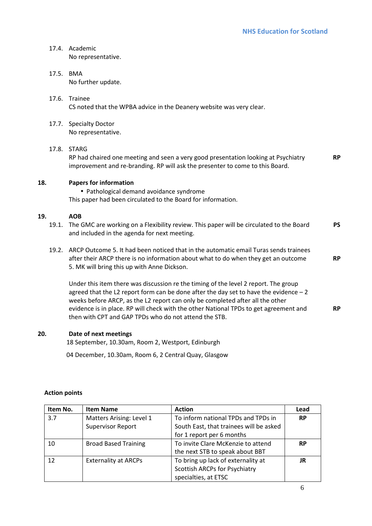## 17.4. Academic No representative.

- 17.5. BMA No further update.
- 17.6. Trainee CS noted that the WPBA advice in the Deanery website was very clear.
- 17.7. Specialty Doctor No representative.

## 17.8. STARG

RP had chaired one meeting and seen a very good presentation looking at Psychiatry improvement and re-branding. RP will ask the presenter to come to this Board. **RP** 

## **18. Papers for information**

• Pathological demand avoidance syndrome This paper had been circulated to the Board for information.

## **19. AOB**

- 19.1. The GMC are working on a Flexibility review. This paper will be circulated to the Board and included in the agenda for next meeting. **PS**
- 19.2. ARCP Outcome 5. It had been noticed that in the automatic email Turas sends trainees after their ARCP there is no information about what to do when they get an outcome 5. MK will bring this up with Anne Dickson.

Under this item there was discussion re the timing of the level 2 report. The group agreed that the L2 report form can be done after the day set to have the evidence  $-2$ weeks before ARCP, as the L2 report can only be completed after all the other evidence is in place. RP will check with the other National TPDs to get agreement and then with CPT and GAP TPDs who do not attend the STB. **RP** 

## **20. Date of next meetings**

18 September, 10.30am, Room 2, Westport, Edinburgh

04 December, 10.30am, Room 6, 2 Central Quay, Glasgow

| Item No. | <b>Item Name</b>            | <b>Action</b>                           | Lead      |
|----------|-----------------------------|-----------------------------------------|-----------|
| 3.7      | Matters Arising: Level 1    | To inform national TPDs and TPDs in     | <b>RP</b> |
|          | <b>Supervisor Report</b>    | South East, that trainees will be asked |           |
|          |                             | for 1 report per 6 months               |           |
| 10       | <b>Broad Based Training</b> | To invite Clare McKenzie to attend      | <b>RP</b> |
|          |                             | the next STB to speak about BBT         |           |
| 12       | <b>Externality at ARCPs</b> | To bring up lack of externality at      | JR        |
|          |                             | Scottish ARCPs for Psychiatry           |           |
|          |                             | specialties, at ETSC                    |           |

## **Action points**

**RP**